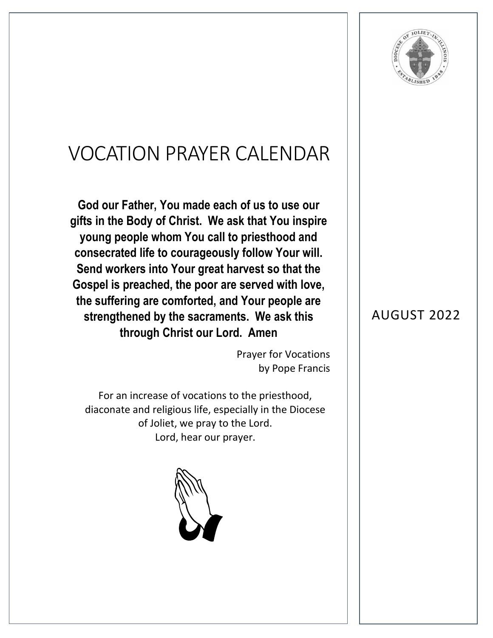

## VOCATION PRAYER CALENDAR

**God our Father, You made each of us to use our gifts in the Body of Christ. We ask that You inspire young people whom You call to priesthood and consecrated life to courageously follow Your will. Send workers into Your great harvest so that the Gospel is preached, the poor are served with love, the suffering are comforted, and Your people are strengthened by the sacraments. We ask this through Christ our Lord. Amen**

> Prayer for Vocations by Pope Francis

For an increase of vocations to the priesthood, diaconate and religious life, especially in the Diocese of Joliet, we pray to the Lord. Lord, hear our prayer.



## AUGUST 2022